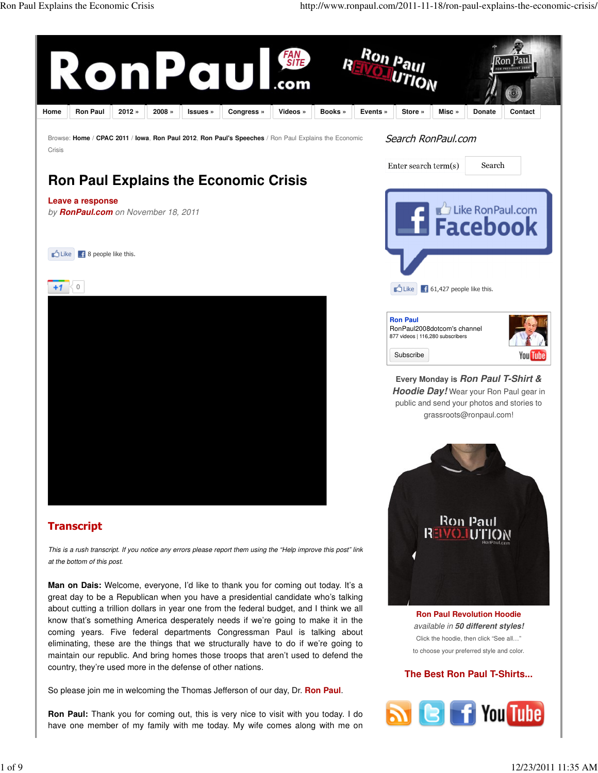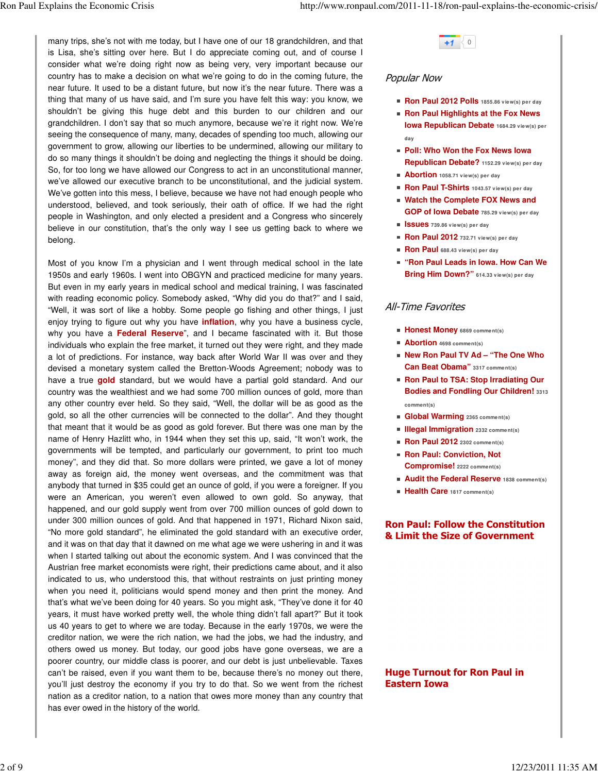many trips, she's not with me today, but I have one of our 18 grandchildren, and that is Lisa, she's sitting over here. But I do appreciate coming out, and of course I consider what we're doing right now as being very, very important because our country has to make a decision on what we're going to do in the coming future, the near future. It used to be a distant future, but now it's the near future. There was a thing that many of us have said, and I'm sure you have felt this way: you know, we shouldn't be giving this huge debt and this burden to our children and our grandchildren. I don't say that so much anymore, because we're it right now. We're seeing the consequence of many, many, decades of spending too much, allowing our government to grow, allowing our liberties to be undermined, allowing our military to do so many things it shouldn't be doing and neglecting the things it should be doing. So, for too long we have allowed our Congress to act in an unconstitutional manner, we've allowed our executive branch to be unconstitutional, and the judicial system. We've gotten into this mess, I believe, because we have not had enough people who understood, believed, and took seriously, their oath of office. If we had the right people in Washington, and only elected a president and a Congress who sincerely believe in our constitution, that's the only way I see us getting back to where we belong.

Most of you know I'm a physician and I went through medical school in the late 1950s and early 1960s. I went into OBGYN and practiced medicine for many years. But even in my early years in medical school and medical training, I was fascinated with reading economic policy. Somebody asked, "Why did you do that?" and I said, "Well, it was sort of like a hobby. Some people go fishing and other things, I just enjoy trying to figure out why you have **inflation**, why you have a business cycle, why you have a **Federal Reserve**", and I became fascinated with it. But those individuals who explain the free market, it turned out they were right, and they made a lot of predictions. For instance, way back after World War II was over and they devised a monetary system called the Bretton-Woods Agreement; nobody was to have a true **gold** standard, but we would have a partial gold standard. And our country was the wealthiest and we had some 700 million ounces of gold, more than any other country ever held. So they said, "Well, the dollar will be as good as the gold, so all the other currencies will be connected to the dollar". And they thought that meant that it would be as good as gold forever. But there was one man by the name of Henry Hazlitt who, in 1944 when they set this up, said, "It won't work, the governments will be tempted, and particularly our government, to print too much money", and they did that. So more dollars were printed, we gave a lot of money away as foreign aid, the money went overseas, and the commitment was that anybody that turned in \$35 could get an ounce of gold, if you were a foreigner. If you were an American, you weren't even allowed to own gold. So anyway, that happened, and our gold supply went from over 700 million ounces of gold down to under 300 million ounces of gold. And that happened in 1971, Richard Nixon said, "No more gold standard", he eliminated the gold standard with an executive order, and it was on that day that it dawned on me what age we were ushering in and it was when I started talking out about the economic system. And I was convinced that the Austrian free market economists were right, their predictions came about, and it also indicated to us, who understood this, that without restraints on just printing money when you need it, politicians would spend money and then print the money. And that's what we've been doing for 40 years. So you might ask, "They've done it for 40 years, it must have worked pretty well, the whole thing didn't fall apart?" But it took us 40 years to get to where we are today. Because in the early 1970s, we were the creditor nation, we were the rich nation, we had the jobs, we had the industry, and others owed us money. But today, our good jobs have gone overseas, we are a poorer country, our middle class is poorer, and our debt is just unbelievable. Taxes can't be raised, even if you want them to be, because there's no money out there, you'll just destroy the economy if you try to do that. So we went from the richest nation as a creditor nation, to a nation that owes more money than any country that has ever owed in the history of the world.

# $+1$  0

## Popular Now

- **Ron Paul 2012 Polls 1855.86 view(s) per day**
- **Ron Paul Highlights at the Fox News Iowa Republican Debate 1684.29 view(s) per day**
- **Poll: Who Won the Fox News Iowa Republican Debate? 1152.29 view(s) per day**
- **Abortion 1058.71 view(s) per day**
- **Ron Paul T-Shirts 1043.57 view(s) per day**
- **Watch the Complete FOX News and GOP of Iowa Debate 785.29 view(s) per day**
- **Issues 739.86 view(s) per day**
- **Ron Paul 2012 732.71 view(s) per day**
- **Ron Paul 688.43 view(s) per day**
- **"Ron Paul Leads in Iowa. How Can We Bring Him Down?" 614.33 view(s) per day**

# All-Time Favorites

- **Honest Money 6869 comment(s)**
- **Abortion 4698 comment(s)**
- **New Ron Paul TV Ad "The One Who Can Beat Obama" 3317 comment(s)**
- **Ron Paul to TSA: Stop Irradiating Our Bodies and Fondling Our Children! <sup>3313</sup> comment(s)**
- **Global Warming 2365 comment(s)**
- **Illegal Immigration 2332 comment(s)**
- **Ron Paul 2012 2302 comment(s)**
- **Ron Paul: Conviction, Not Compromise! 2222 comment(s)**
- **Audit the Federal Reserve 1838 comment(s)**
- **Health Care 1817 comment(s)**

#### Ron Paul: Follow the Constitution & Limit the Size of Government

## Huge Turnout for Ron Paul in Eastern Iowa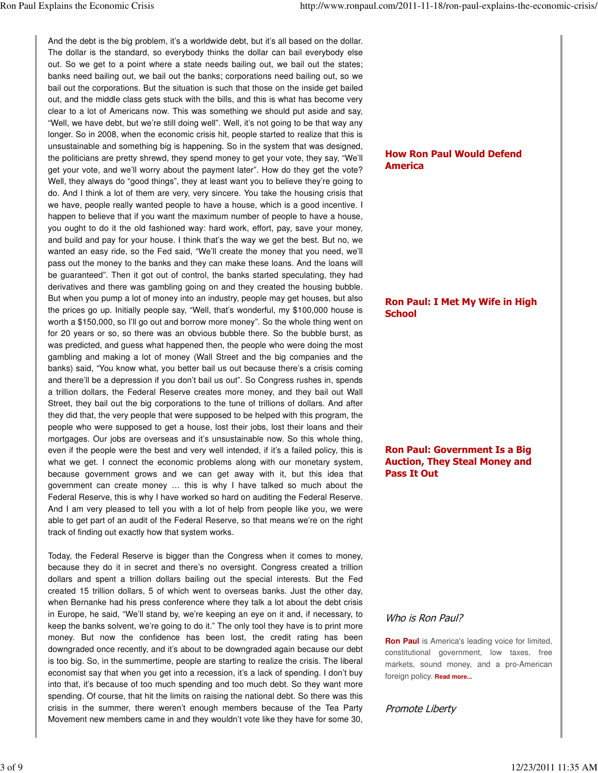And the debt is the big problem, it's a worldwide debt, but it's all based on the dollar. The dollar is the standard, so everybody thinks the dollar can bail everybody else out. So we get to a point where a state needs bailing out, we bail out the states; banks need bailing out, we bail out the banks; corporations need bailing out, so we bail out the corporations. But the situation is such that those on the inside get bailed out, and the middle class gets stuck with the bills, and this is what has become very clear to a lot of Americans now. This was something we should put aside and say, "Well, we have debt, but we're still doing well". Well, it's not going to be that way any longer. So in 2008, when the economic crisis hit, people started to realize that this is unsustainable and something big is happening. So in the system that was designed, the politicians are pretty shrewd, they spend money to get your vote, they say, "We'll get your vote, and we'll worry about the payment later". How do they get the vote? Well, they always do "good things", they at least want you to believe they're going to do. And I think a lot of them are very, very sincere. You take the housing crisis that we have, people really wanted people to have a house, which is a good incentive. I happen to believe that if you want the maximum number of people to have a house, you ought to do it the old fashioned way: hard work, effort, pay, save your money, and build and pay for your house. I think that's the way we get the best. But no, we wanted an easy ride, so the Fed said, "We'll create the money that you need, we'll pass out the money to the banks and they can make these loans. And the loans will be guaranteed". Then it got out of control, the banks started speculating, they had derivatives and there was gambling going on and they created the housing bubble. But when you pump a lot of money into an industry, people may get houses, but also the prices go up. Initially people say, "Well, that's wonderful, my \$100,000 house is worth a \$150,000, so I'll go out and borrow more money". So the whole thing went on for 20 years or so, so there was an obvious bubble there. So the bubble burst, as was predicted, and guess what happened then, the people who were doing the most gambling and making a lot of money (Wall Street and the big companies and the banks) said, "You know what, you better bail us out because there's a crisis coming and there'll be a depression if you don't bail us out". So Congress rushes in, spends a trillion dollars, the Federal Reserve creates more money, and they bail out Wall Street, they bail out the big corporations to the tune of trillions of dollars. And after they did that, the very people that were supposed to be helped with this program, the people who were supposed to get a house, lost their jobs, lost their loans and their mortgages. Our jobs are overseas and it's unsustainable now. So this whole thing, even if the people were the best and very well intended, if it's a failed policy, this is what we get. I connect the economic problems along with our monetary system, because government grows and we can get away with it, but this idea that government can create money … this is why I have talked so much about the Federal Reserve, this is why I have worked so hard on auditing the Federal Reserve. And I am very pleased to tell you with a lot of help from people like you, we were able to get part of an audit of the Federal Reserve, so that means we're on the right track of finding out exactly how that system works.

Today, the Federal Reserve is bigger than the Congress when it comes to money, because they do it in secret and there's no oversight. Congress created a trillion dollars and spent a trillion dollars bailing out the special interests. But the Fed created 15 trillion dollars, 5 of which went to overseas banks. Just the other day, when Bernanke had his press conference where they talk a lot about the debt crisis in Europe, he said, "We'll stand by, we're keeping an eye on it and, if necessary, to keep the banks solvent, we're going to do it." The only tool they have is to print more money. But now the confidence has been lost, the credit rating has been downgraded once recently, and it's about to be downgraded again because our debt is too big. So, in the summertime, people are starting to realize the crisis. The liberal economist say that when you get into a recession, it's a lack of spending. I don't buy into that, it's because of too much spending and too much debt. So they want more spending. Of course, that hit the limits on raising the national debt. So there was this crisis in the summer, there weren't enough members because of the Tea Party Movement new members came in and they wouldn't vote like they have for some 30,

# How Ron Paul Would Defend America

#### Ron Paul: I Met My Wife in High **School**

## Ron Paul: Government Is a Big Auction, They Steal Money and Pass It Out

## Who is Ron Paul?

**Ron Paul** is America's leading voice for limited, constitutional government, low taxes, free markets, sound money, and a pro-American foreign policy. **Read more...**

## Promote Liberty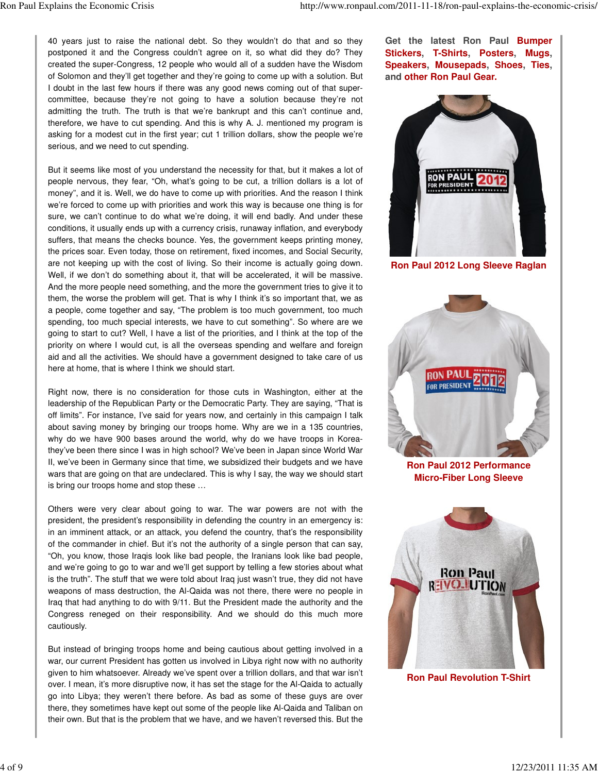40 years just to raise the national debt. So they wouldn't do that and so they postponed it and the Congress couldn't agree on it, so what did they do? They created the super-Congress, 12 people who would all of a sudden have the Wisdom of Solomon and they'll get together and they're going to come up with a solution. But I doubt in the last few hours if there was any good news coming out of that supercommittee, because they're not going to have a solution because they're not admitting the truth. The truth is that we're bankrupt and this can't continue and, therefore, we have to cut spending. And this is why A. J. mentioned my program is asking for a modest cut in the first year; cut 1 trillion dollars, show the people we're serious, and we need to cut spending.

But it seems like most of you understand the necessity for that, but it makes a lot of people nervous, they fear, "Oh, what's going to be cut, a trillion dollars is a lot of money", and it is. Well, we do have to come up with priorities. And the reason I think we're forced to come up with priorities and work this way is because one thing is for sure, we can't continue to do what we're doing, it will end badly. And under these conditions, it usually ends up with a currency crisis, runaway inflation, and everybody suffers, that means the checks bounce. Yes, the government keeps printing money, the prices soar. Even today, those on retirement, fixed incomes, and Social Security, are not keeping up with the cost of living. So their income is actually going down. Well, if we don't do something about it, that will be accelerated, it will be massive. And the more people need something, and the more the government tries to give it to them, the worse the problem will get. That is why I think it's so important that, we as a people, come together and say, "The problem is too much government, too much spending, too much special interests, we have to cut something". So where are we going to start to cut? Well, I have a list of the priorities, and I think at the top of the priority on where I would cut, is all the overseas spending and welfare and foreign aid and all the activities. We should have a government designed to take care of us here at home, that is where I think we should start.

Right now, there is no consideration for those cuts in Washington, either at the leadership of the Republican Party or the Democratic Party. They are saying, "That is off limits". For instance, I've said for years now, and certainly in this campaign I talk about saving money by bringing our troops home. Why are we in a 135 countries, why do we have 900 bases around the world, why do we have troops in Koreathey've been there since I was in high school? We've been in Japan since World War II, we've been in Germany since that time, we subsidized their budgets and we have wars that are going on that are undeclared. This is why I say, the way we should start is bring our troops home and stop these …

Others were very clear about going to war. The war powers are not with the president, the president's responsibility in defending the country in an emergency is: in an imminent attack, or an attack, you defend the country, that's the responsibility of the commander in chief. But it's not the authority of a single person that can say, "Oh, you know, those Iraqis look like bad people, the Iranians look like bad people, and we're going to go to war and we'll get support by telling a few stories about what is the truth". The stuff that we were told about Iraq just wasn't true, they did not have weapons of mass destruction, the Al-Qaida was not there, there were no people in Iraq that had anything to do with 9/11. But the President made the authority and the Congress reneged on their responsibility. And we should do this much more cautiously.

But instead of bringing troops home and being cautious about getting involved in a war, our current President has gotten us involved in Libya right now with no authority given to him whatsoever. Already we've spent over a trillion dollars, and that war isn't over. I mean, it's more disruptive now, it has set the stage for the Al-Qaida to actually go into Libya; they weren't there before. As bad as some of these guys are over there, they sometimes have kept out some of the people like Al-Qaida and Taliban on their own. But that is the problem that we have, and we haven't reversed this. But the

**Get the latest Ron Paul Bumper Stickers, T-Shirts, Posters, Mugs, Speakers, Mousepads, Shoes, Ties, and other Ron Paul Gear.**



**Ron Paul 2012 Long Sleeve Raglan**



**Ron Paul 2012 Performance Micro-Fiber Long Sleeve**



**Ron Paul Revolution T-Shirt**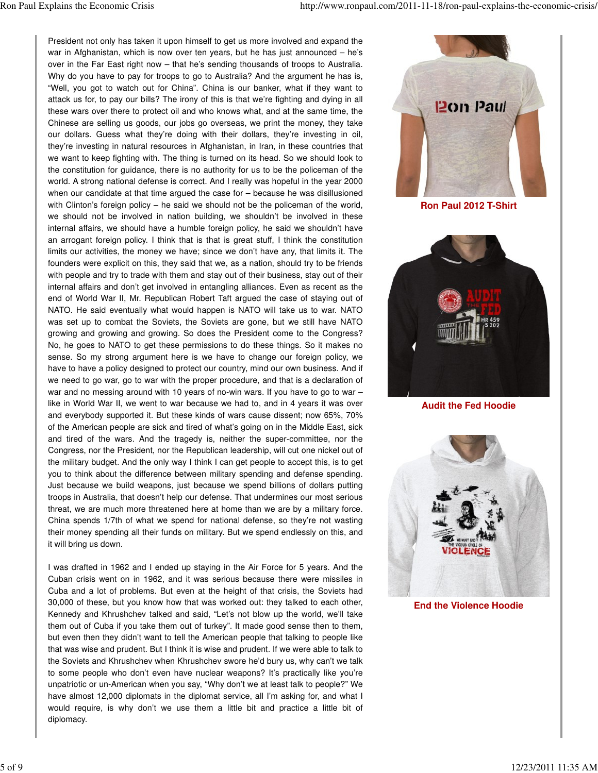President not only has taken it upon himself to get us more involved and expand the war in Afghanistan, which is now over ten years, but he has just announced – he's over in the Far East right now – that he's sending thousands of troops to Australia. Why do you have to pay for troops to go to Australia? And the argument he has is, "Well, you got to watch out for China". China is our banker, what if they want to attack us for, to pay our bills? The irony of this is that we're fighting and dying in all these wars over there to protect oil and who knows what, and at the same time, the Chinese are selling us goods, our jobs go overseas, we print the money, they take our dollars. Guess what they're doing with their dollars, they're investing in oil, they're investing in natural resources in Afghanistan, in Iran, in these countries that we want to keep fighting with. The thing is turned on its head. So we should look to the constitution for guidance, there is no authority for us to be the policeman of the world. A strong national defense is correct. And I really was hopeful in the year 2000 when our candidate at that time argued the case for – because he was disillusioned with Clinton's foreign policy – he said we should not be the policeman of the world, we should not be involved in nation building, we shouldn't be involved in these internal affairs, we should have a humble foreign policy, he said we shouldn't have an arrogant foreign policy. I think that is that is great stuff, I think the constitution limits our activities, the money we have; since we don't have any, that limits it. The founders were explicit on this, they said that we, as a nation, should try to be friends with people and try to trade with them and stay out of their business, stay out of their internal affairs and don't get involved in entangling alliances. Even as recent as the end of World War II, Mr. Republican Robert Taft argued the case of staying out of NATO. He said eventually what would happen is NATO will take us to war. NATO was set up to combat the Soviets, the Soviets are gone, but we still have NATO growing and growing and growing. So does the President come to the Congress? No, he goes to NATO to get these permissions to do these things. So it makes no sense. So my strong argument here is we have to change our foreign policy, we have to have a policy designed to protect our country, mind our own business. And if we need to go war, go to war with the proper procedure, and that is a declaration of war and no messing around with 10 years of no-win wars. If you have to go to war like in World War II, we went to war because we had to, and in 4 years it was over and everybody supported it. But these kinds of wars cause dissent; now 65%, 70% of the American people are sick and tired of what's going on in the Middle East, sick and tired of the wars. And the tragedy is, neither the super-committee, nor the Congress, nor the President, nor the Republican leadership, will cut one nickel out of the military budget. And the only way I think I can get people to accept this, is to get you to think about the difference between military spending and defense spending. Just because we build weapons, just because we spend billions of dollars putting troops in Australia, that doesn't help our defense. That undermines our most serious threat, we are much more threatened here at home than we are by a military force. China spends 1/7th of what we spend for national defense, so they're not wasting their money spending all their funds on military. But we spend endlessly on this, and it will bring us down.

I was drafted in 1962 and I ended up staying in the Air Force for 5 years. And the Cuban crisis went on in 1962, and it was serious because there were missiles in Cuba and a lot of problems. But even at the height of that crisis, the Soviets had 30,000 of these, but you know how that was worked out: they talked to each other, Kennedy and Khrushchev talked and said, "Let's not blow up the world, we'll take them out of Cuba if you take them out of turkey". It made good sense then to them, but even then they didn't want to tell the American people that talking to people like that was wise and prudent. But I think it is wise and prudent. If we were able to talk to the Soviets and Khrushchev when Khrushchev swore he'd bury us, why can't we talk to some people who don't even have nuclear weapons? It's practically like you're unpatriotic or un-American when you say, "Why don't we at least talk to people?" We have almost 12,000 diplomats in the diplomat service, all I'm asking for, and what I would require, is why don't we use them a little bit and practice a little bit of diplomacy.



**Ron Paul 2012 T-Shirt**



**Audit the Fed Hoodie**



**End the Violence Hoodie**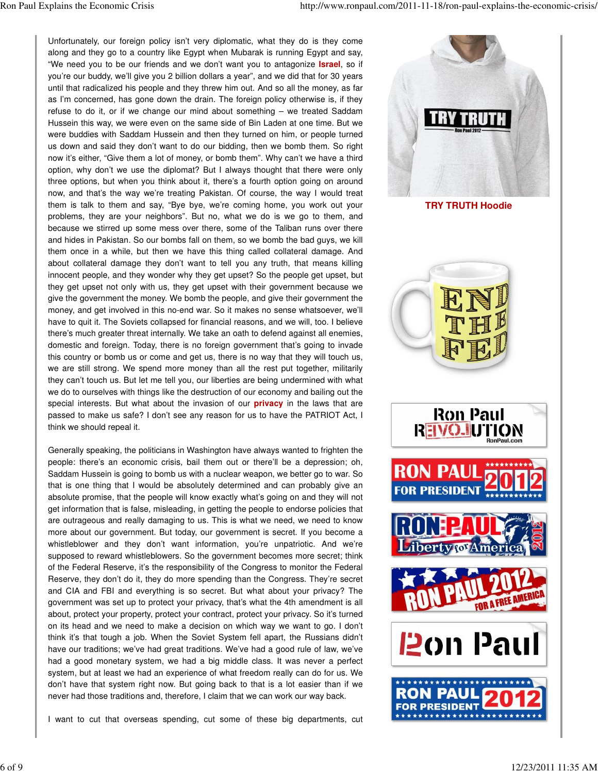Unfortunately, our foreign policy isn't very diplomatic, what they do is they come along and they go to a country like Egypt when Mubarak is running Egypt and say, "We need you to be our friends and we don't want you to antagonize **Israel**, so if you're our buddy, we'll give you 2 billion dollars a year", and we did that for 30 years until that radicalized his people and they threw him out. And so all the money, as far as I'm concerned, has gone down the drain. The foreign policy otherwise is, if they refuse to do it, or if we change our mind about something – we treated Saddam Hussein this way, we were even on the same side of Bin Laden at one time. But we were buddies with Saddam Hussein and then they turned on him, or people turned us down and said they don't want to do our bidding, then we bomb them. So right now it's either, "Give them a lot of money, or bomb them". Why can't we have a third option, why don't we use the diplomat? But I always thought that there were only three options, but when you think about it, there's a fourth option going on around now, and that's the way we're treating Pakistan. Of course, the way I would treat them is talk to them and say, "Bye bye, we're coming home, you work out your problems, they are your neighbors". But no, what we do is we go to them, and because we stirred up some mess over there, some of the Taliban runs over there and hides in Pakistan. So our bombs fall on them, so we bomb the bad guys, we kill them once in a while, but then we have this thing called collateral damage. And about collateral damage they don't want to tell you any truth, that means killing innocent people, and they wonder why they get upset? So the people get upset, but they get upset not only with us, they get upset with their government because we give the government the money. We bomb the people, and give their government the money, and get involved in this no-end war. So it makes no sense whatsoever, we'll have to quit it. The Soviets collapsed for financial reasons, and we will, too. I believe there's much greater threat internally. We take an oath to defend against all enemies, domestic and foreign. Today, there is no foreign government that's going to invade this country or bomb us or come and get us, there is no way that they will touch us, we are still strong. We spend more money than all the rest put together, militarily they can't touch us. But let me tell you, our liberties are being undermined with what we do to ourselves with things like the destruction of our economy and bailing out the special interests. But what about the invasion of our **privacy** in the laws that are passed to make us safe? I don't see any reason for us to have the PATRIOT Act, I think we should repeal it.

Generally speaking, the politicians in Washington have always wanted to frighten the people: there's an economic crisis, bail them out or there'll be a depression; oh, Saddam Hussein is going to bomb us with a nuclear weapon, we better go to war. So that is one thing that I would be absolutely determined and can probably give an absolute promise, that the people will know exactly what's going on and they will not get information that is false, misleading, in getting the people to endorse policies that are outrageous and really damaging to us. This is what we need, we need to know more about our government. But today, our government is secret. If you become a whistleblower and they don't want information, you're unpatriotic. And we're supposed to reward whistleblowers. So the government becomes more secret; think of the Federal Reserve, it's the responsibility of the Congress to monitor the Federal Reserve, they don't do it, they do more spending than the Congress. They're secret and CIA and FBI and everything is so secret. But what about your privacy? The government was set up to protect your privacy, that's what the 4th amendment is all about, protect your property, protect your contract, protect your privacy. So it's turned on its head and we need to make a decision on which way we want to go. I don't think it's that tough a job. When the Soviet System fell apart, the Russians didn't have our traditions; we've had great traditions. We've had a good rule of law, we've had a good monetary system, we had a big middle class. It was never a perfect system, but at least we had an experience of what freedom really can do for us. We don't have that system right now. But going back to that is a lot easier than if we never had those traditions and, therefore, I claim that we can work our way back.

I want to cut that overseas spending, cut some of these big departments, cut









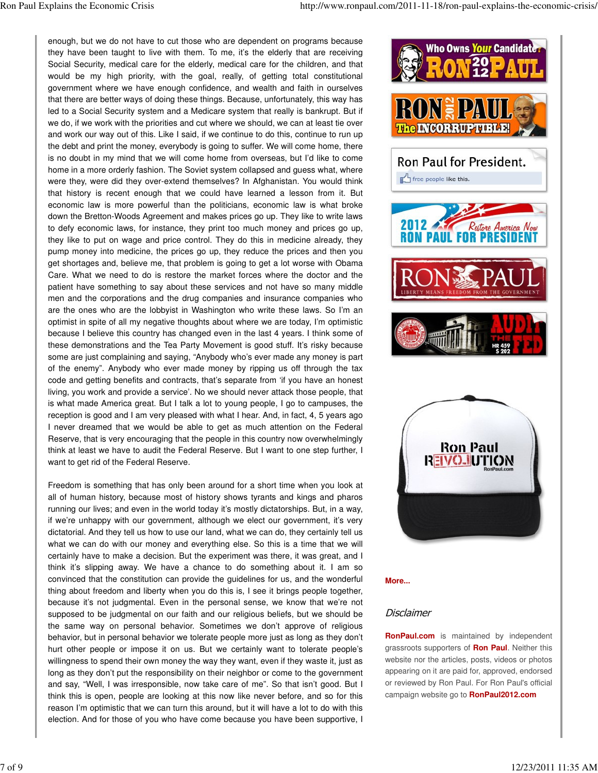enough, but we do not have to cut those who are dependent on programs because they have been taught to live with them. To me, it's the elderly that are receiving Social Security, medical care for the elderly, medical care for the children, and that would be my high priority, with the goal, really, of getting total constitutional government where we have enough confidence, and wealth and faith in ourselves that there are better ways of doing these things. Because, unfortunately, this way has led to a Social Security system and a Medicare system that really is bankrupt. But if we do, if we work with the priorities and cut where we should, we can at least tie over and work our way out of this. Like I said, if we continue to do this, continue to run up the debt and print the money, everybody is going to suffer. We will come home, there is no doubt in my mind that we will come home from overseas, but I'd like to come home in a more orderly fashion. The Soviet system collapsed and guess what, where were they, were did they over-extend themselves? In Afghanistan. You would think that history is recent enough that we could have learned a lesson from it. But economic law is more powerful than the politicians, economic law is what broke down the Bretton-Woods Agreement and makes prices go up. They like to write laws to defy economic laws, for instance, they print too much money and prices go up, they like to put on wage and price control. They do this in medicine already, they pump money into medicine, the prices go up, they reduce the prices and then you get shortages and, believe me, that problem is going to get a lot worse with Obama Care. What we need to do is restore the market forces where the doctor and the patient have something to say about these services and not have so many middle men and the corporations and the drug companies and insurance companies who are the ones who are the lobbyist in Washington who write these laws. So I'm an optimist in spite of all my negative thoughts about where we are today, I'm optimistic because I believe this country has changed even in the last 4 years. I think some of these demonstrations and the Tea Party Movement is good stuff. It's risky because some are just complaining and saying, "Anybody who's ever made any money is part of the enemy". Anybody who ever made money by ripping us off through the tax code and getting benefits and contracts, that's separate from 'if you have an honest living, you work and provide a service'. No we should never attack those people, that is what made America great. But I talk a lot to young people, I go to campuses, the reception is good and I am very pleased with what I hear. And, in fact, 4, 5 years ago I never dreamed that we would be able to get as much attention on the Federal Reserve, that is very encouraging that the people in this country now overwhelmingly think at least we have to audit the Federal Reserve. But I want to one step further, I want to get rid of the Federal Reserve.

Freedom is something that has only been around for a short time when you look at all of human history, because most of history shows tyrants and kings and pharos running our lives; and even in the world today it's mostly dictatorships. But, in a way, if we're unhappy with our government, although we elect our government, it's very dictatorial. And they tell us how to use our land, what we can do, they certainly tell us what we can do with our money and everything else. So this is a time that we will certainly have to make a decision. But the experiment was there, it was great, and I think it's slipping away. We have a chance to do something about it. I am so convinced that the constitution can provide the guidelines for us, and the wonderful thing about freedom and liberty when you do this is, I see it brings people together, because it's not judgmental. Even in the personal sense, we know that we're not supposed to be judgmental on our faith and our religious beliefs, but we should be the same way on personal behavior. Sometimes we don't approve of religious behavior, but in personal behavior we tolerate people more just as long as they don't hurt other people or impose it on us. But we certainly want to tolerate people's willingness to spend their own money the way they want, even if they waste it, just as long as they don't put the responsibility on their neighbor or come to the government and say, "Well, I was irresponsible, now take care of me". So that isn't good. But I think this is open, people are looking at this now like never before, and so for this reason I'm optimistic that we can turn this around, but it will have a lot to do with this election. And for those of you who have come because you have been supportive, I



**More...**

## Disclaimer

**RonPaul.com** is maintained by independent grassroots supporters of **Ron Paul**. Neither this website nor the articles, posts, videos or photos appearing on it are paid for, approved, endorsed or reviewed by Ron Paul. For Ron Paul's official campaign website go to **RonPaul2012.com**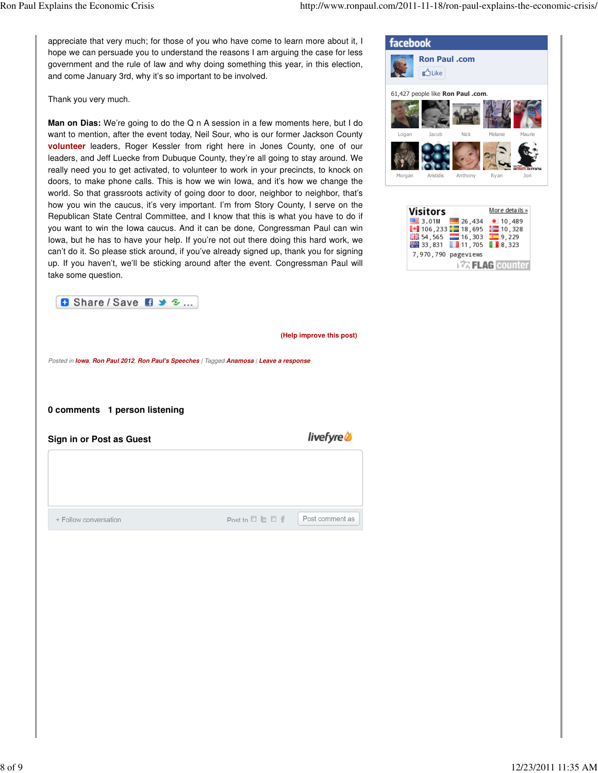appreciate that very much; for those of you who have come to learn more about it, I hope we can persuade you to understand the reasons I am arguing the case for less government and the rule of law and why doing something this year, in this election, and come January 3rd, why it's so important to be involved.

Thank you very much.

**Man on Dias:** We're going to do the Q n A session in a few moments here, but I do want to mention, after the event today, Neil Sour, who is our former Jackson County **volunteer** leaders, Roger Kessler from right here in Jones County, one of our leaders, and Jeff Luecke from Dubuque County, they're all going to stay around. We really need you to get activated, to volunteer to work in your precincts, to knock on doors, to make phone calls. This is how we win Iowa, and it's how we change the world. So that grassroots activity of going door to door, neighbor to neighbor, that's how you win the caucus, it's very important. I'm from Story County, I serve on the Republican State Central Committee, and I know that this is what you have to do if you want to win the Iowa caucus. And it can be done, Congressman Paul can win Iowa, but he has to have your help. If you're not out there doing this hard work, we can't do it. So please stick around, if you've already signed up, thank you for signing up. If you haven't, we'll be sticking around after the event. Congressman Paul will take some question.





**(Help improve this post)**

Posted in **Iowa**, **Ron Paul 2012**, **Ron Paul's Speeches** | Tagged **Anamosa** | **Leave a response**

**0 comments 1 person listening**

**Sign in or Post as Guest**

+ Follow conversation

*livefyre* 

Post comment as

Post to  $\Box$   $\Box$   $\Box$